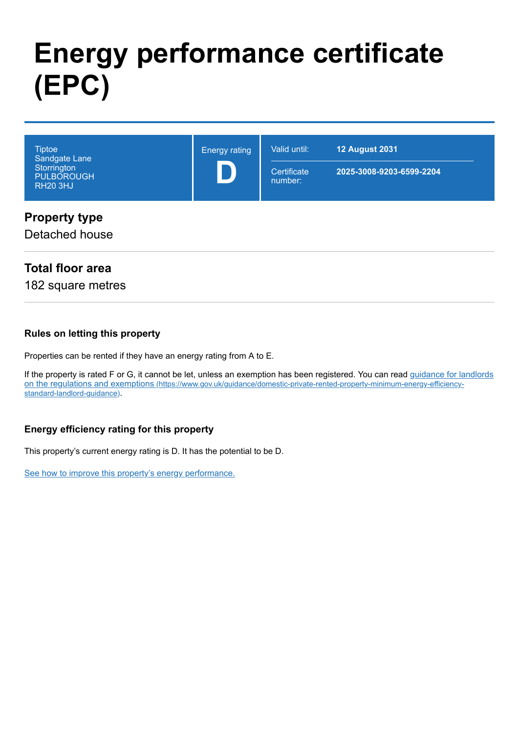# **Energy performance certificate (EPC)**

| Tiptoe<br>Sandgate Lane<br>Storrington<br><b>PULBOROUGH</b><br><b>RH20 3HJ</b> | <b>Energy rating</b> | Valid until:<br>Certificate<br>number: | <b>12 August 2031</b><br>2025-3008-9203-6599-2204 |
|--------------------------------------------------------------------------------|----------------------|----------------------------------------|---------------------------------------------------|
| <b>Property type</b><br>Detached house                                         |                      |                                        |                                                   |

## **Total floor area**

182 square metres

#### **Rules on letting this property**

Properties can be rented if they have an energy rating from A to E.

[If the property is rated F or G, it cannot be let, unless an exemption has been registered. You can read guidance for landlords](https://www.gov.uk/guidance/domestic-private-rented-property-minimum-energy-efficiency-standard-landlord-guidance) on the regulations and exemptions (https://www.gov.uk/guidance/domestic-private-rented-property-minimum-energy-efficiencystandard-landlord-guidance).

#### **Energy efficiency rating for this property**

This property's current energy rating is D. It has the potential to be D.

[See how to improve this property's energy performance.](#page-3-0)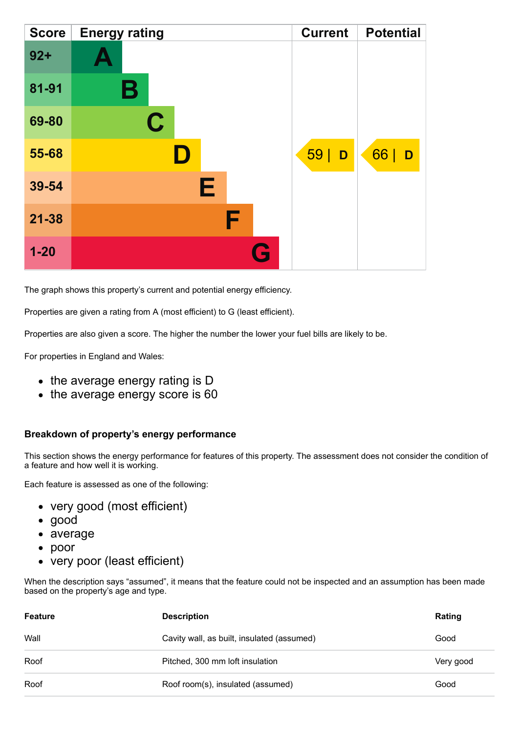| <b>Score</b> | <b>Energy rating</b> | <b>Current</b> | <b>Potential</b> |
|--------------|----------------------|----------------|------------------|
| $92 +$       |                      |                |                  |
| 81-91        | Β                    |                |                  |
| 69-80        | C                    |                |                  |
| 55-68        |                      | 59<br>D        | 66  <br>D        |
| 39-54        | E                    |                |                  |
| $21 - 38$    | F                    |                |                  |
| $1 - 20$     | <b>a</b>             |                |                  |

The graph shows this property's current and potential energy efficiency.

Properties are given a rating from A (most efficient) to G (least efficient).

Properties are also given a score. The higher the number the lower your fuel bills are likely to be.

For properties in England and Wales:

- the average energy rating is D
- the average energy score is 60

#### **Breakdown of property's energy performance**

This section shows the energy performance for features of this property. The assessment does not consider the condition of a feature and how well it is working.

Each feature is assessed as one of the following:

- very good (most efficient)
- good
- average
- poor
- very poor (least efficient)

When the description says "assumed", it means that the feature could not be inspected and an assumption has been made based on the property's age and type.

| Feature | <b>Description</b>                         | Rating    |
|---------|--------------------------------------------|-----------|
| Wall    | Cavity wall, as built, insulated (assumed) | Good      |
| Roof    | Pitched, 300 mm loft insulation            | Very good |
| Roof    | Roof room(s), insulated (assumed)          | Good      |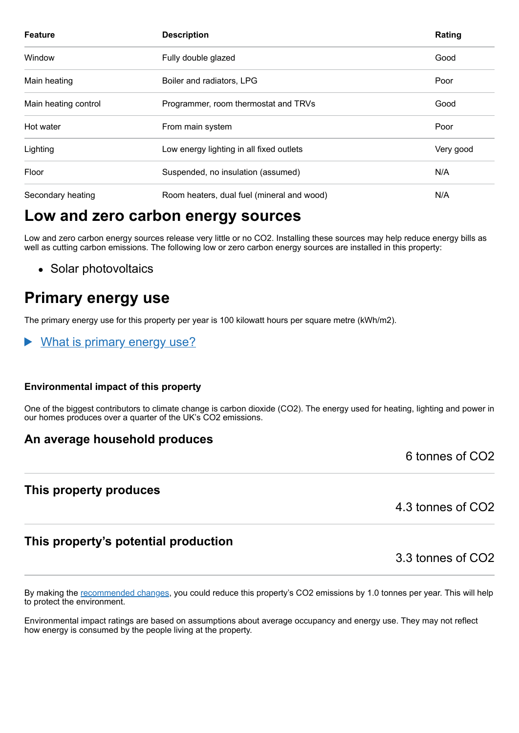| <b>Feature</b>       | <b>Description</b>                         | Rating    |
|----------------------|--------------------------------------------|-----------|
| Window               | Fully double glazed                        | Good      |
| Main heating         | Boiler and radiators, LPG                  | Poor      |
| Main heating control | Programmer, room thermostat and TRVs       | Good      |
| Hot water            | From main system                           | Poor      |
| Lighting             | Low energy lighting in all fixed outlets   | Very good |
| Floor                | Suspended, no insulation (assumed)         | N/A       |
| Secondary heating    | Room heaters, dual fuel (mineral and wood) | N/A       |

# **Low and zero carbon energy sources**

Low and zero carbon energy sources release very little or no CO2. Installing these sources may help reduce energy bills as well as cutting carbon emissions. The following low or zero carbon energy sources are installed in this property:

• Solar photovoltaics

# **Primary energy use**

The primary energy use for this property per year is 100 kilowatt hours per square metre (kWh/m2).

What is primary energy use?

#### **Environmental impact of this property**

One of the biggest contributors to climate change is carbon dioxide (CO2). The energy used for heating, lighting and power in our homes produces over a quarter of the UK's CO2 emissions.

#### **An average household produces**

6 tonnes of CO2

#### **This property produces**

4.3 tonnes of CO2

## **This property's potential production**

3.3 tonnes of CO2

By making the [recommended changes,](#page-3-0) you could reduce this property's CO2 emissions by 1.0 tonnes per year. This will help to protect the environment.

Environmental impact ratings are based on assumptions about average occupancy and energy use. They may not reflect how energy is consumed by the people living at the property.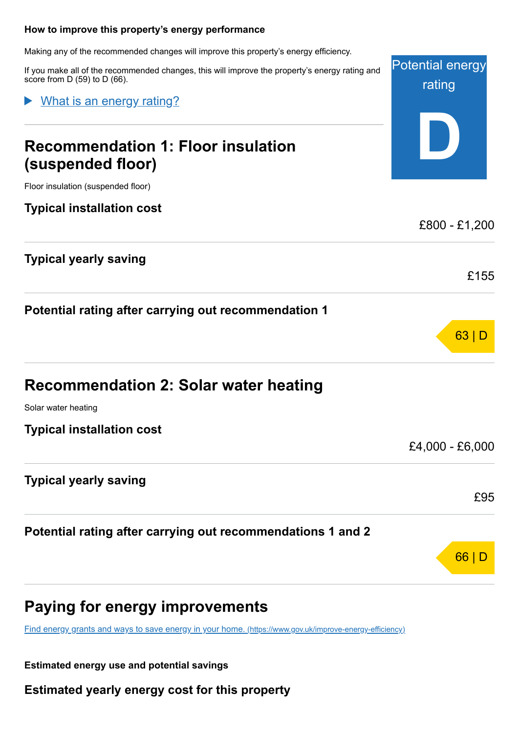#### <span id="page-3-0"></span>**How to improve this property's energy performance**

Making any of the recommended changes will improve this property's energy efficiency.

If you make all of the recommended changes, this will improve the property's energy rating and score from D (59) to D (66).

Potential energy

rating

**D**

£800 - £1,200

£155

63 | D

£4,000 - £6,000

£95

66 | D

What is an energy rating?

# **Recommendation 1: Floor insulation (suspended floor)**

Floor insulation (suspended floor)

#### **Typical installation cost**

#### **Typical yearly saving**

**Potential rating after carrying out recommendation 1**

| <b>Recommendation 2: Solar water heating</b> |  |  |  |  |
|----------------------------------------------|--|--|--|--|
|----------------------------------------------|--|--|--|--|

Solar water heating

**Typical installation cost**

**Typical yearly saving**

**Potential rating after carrying out recommendations 1 and 2**

# **Paying for energy improvements**

[Find energy grants and ways to save energy in your home.](https://www.gov.uk/improve-energy-efficiency) (https://www.gov.uk/improve-energy-efficiency)

**Estimated energy use and potential savings**

**Estimated yearly energy cost for this property**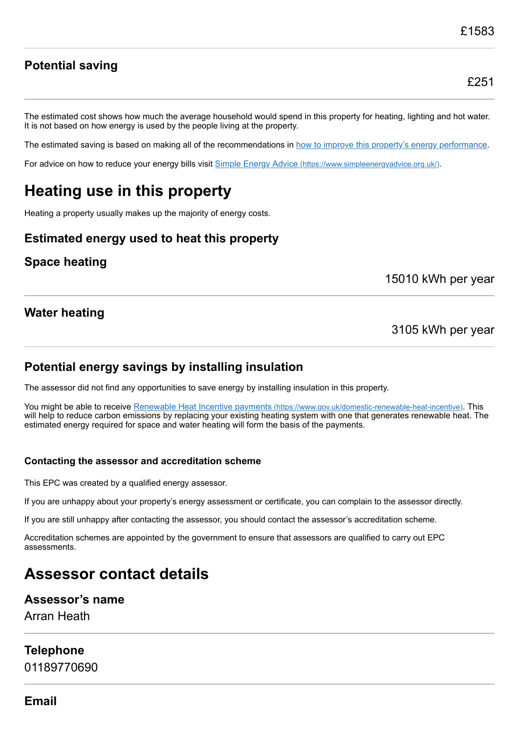£251

## **Potential saving**

The estimated cost shows how much the average household would spend in this property for heating, lighting and hot water. It is not based on how energy is used by the people living at the property.

The estimated saving is based on making all of the recommendations in [how to improve this property's energy performance.](#page-3-0)

For advice on how to reduce your energy bills visit Simple Energy Advice [\(https://www.simpleenergyadvice.org.uk/\)](https://www.simpleenergyadvice.org.uk/).

# **Heating use in this property**

Heating a property usually makes up the majority of energy costs.

# **Estimated energy used to heat this property**

# **Space heating**

15010 kWh per year

## **Water heating**

3105 kWh per year

## **Potential energy savings by installing insulation**

The assessor did not find any opportunities to save energy by installing insulation in this property.

You might be able to receive Renewable Heat Incentive payments [\(https://www.gov.uk/domestic-renewable-heat-incentive\)](https://www.gov.uk/domestic-renewable-heat-incentive). This will help to reduce carbon emissions by replacing your existing heating system with one that generates renewable heat. The estimated energy required for space and water heating will form the basis of the payments.

#### **Contacting the assessor and accreditation scheme**

This EPC was created by a qualified energy assessor.

If you are unhappy about your property's energy assessment or certificate, you can complain to the assessor directly.

If you are still unhappy after contacting the assessor, you should contact the assessor's accreditation scheme.

Accreditation schemes are appointed by the government to ensure that assessors are qualified to carry out EPC assessments.

# **Assessor contact details**

#### **Assessor's name**

Arran Heath

#### **Telephone**

01189770690